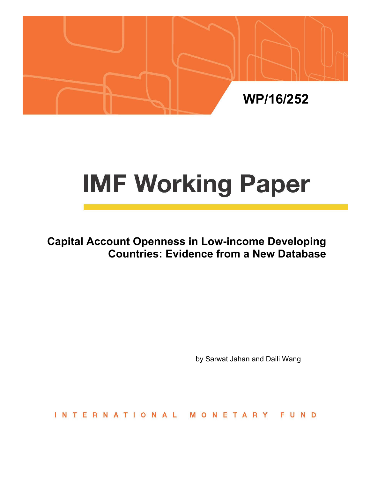

# **IMF Working Paper**

**Capital Account Openness in Low-income Developing Countries: Evidence from a New Database** 

by Sarwat Jahan and Daili Wang

INTERNATIONAL ONETARY FUND M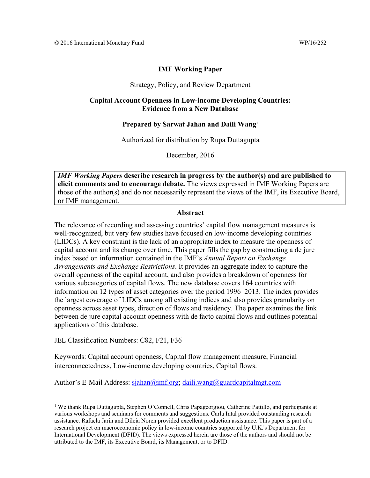#### **IMF Working Paper**

#### Strategy, Policy, and Review Department

#### **Capital Account Openness in Low-income Developing Countries: Evidence from a New Database**

#### **Prepared by Sarwat Jahan and Daili Wang1**

Authorized for distribution by Rupa Duttagupta

December, 2016

*IMF Working Papers* **describe research in progress by the author(s) and are published to elicit comments and to encourage debate.** The views expressed in IMF Working Papers are those of the author(s) and do not necessarily represent the views of the IMF, its Executive Board, or IMF management.

#### **Abstract**

The relevance of recording and assessing countries' capital flow management measures is well-recognized, but very few studies have focused on low-income developing countries (LIDCs). A key constraint is the lack of an appropriate index to measure the openness of capital account and its change over time. This paper fills the gap by constructing a de jure index based on information contained in the IMF's *Annual Report on Exchange Arrangements and Exchange Restrictions*. It provides an aggregate index to capture the overall openness of the capital account, and also provides a breakdown of openness for various subcategories of capital flows. The new database covers 164 countries with information on 12 types of asset categories over the period 1996–2013. The index provides the largest coverage of LIDCs among all existing indices and also provides granularity on openness across asset types, direction of flows and residency. The paper examines the link between de jure capital account openness with de facto capital flows and outlines potential applications of this database.

JEL Classification Numbers: C82, F21, F36

Keywords: Capital account openness, Capital flow management measure, Financial interconnectedness, Low-income developing countries, Capital flows.

Author's E-Mail Address:  $sjahan@imf.org$ ; daili.wang@guardcapitalmgt.com

<sup>&</sup>lt;sup>1</sup> We thank Rupa Duttagupta, Stephen O'Connell, Chris Papageorgiou, Catherine Pattillo, and participants at various workshops and seminars for comments and suggestions. Carla Intal provided outstanding research assistance. Rafaela Jarin and Dilcia Noren provided excellent production assistance. This paper is part of a research project on macroeconomic policy in low-income countries supported by U.K.'s Department for International Development (DFID). The views expressed herein are those of the authors and should not be attributed to the IMF, its Executive Board, its Management, or to DFID.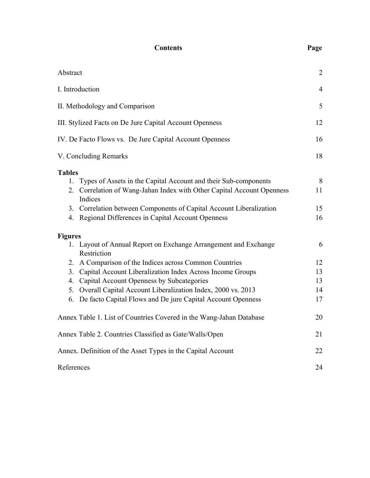# **Contents Page**

| Abstract                                                                          | $\overline{2}$ |  |  |  |
|-----------------------------------------------------------------------------------|----------------|--|--|--|
| I. Introduction                                                                   | $\overline{4}$ |  |  |  |
| II. Methodology and Comparison                                                    | 5              |  |  |  |
| III. Stylized Facts on De Jure Capital Account Openness                           | 12             |  |  |  |
| IV. De Facto Flows vs. De Jure Capital Account Openness                           | 16             |  |  |  |
| V. Concluding Remarks                                                             | 18             |  |  |  |
| <b>Tables</b>                                                                     |                |  |  |  |
| 1. Types of Assets in the Capital Account and their Sub-components                | 8              |  |  |  |
| 2. Correlation of Wang-Jahan Index with Other Capital Account Openness<br>Indices | 11             |  |  |  |
| 3. Correlation between Components of Capital Account Liberalization               |                |  |  |  |
| 4. Regional Differences in Capital Account Openness                               | 16             |  |  |  |
| <b>Figures</b>                                                                    |                |  |  |  |
| 1. Layout of Annual Report on Exchange Arrangement and Exchange<br>Restriction    | 6              |  |  |  |
| 2. A Comparison of the Indices across Common Countries                            | 12             |  |  |  |
| Capital Account Liberalization Index Across Income Groups<br>3.                   | 13             |  |  |  |
| 4. Capital Account Openness by Subcategories                                      | 13             |  |  |  |
| 5. Overall Capital Account Liberalization Index, 2000 vs. 2013                    | 14             |  |  |  |
| 6. De facto Capital Flows and De jure Capital Account Openness                    | 17             |  |  |  |
| Annex Table 1. List of Countries Covered in the Wang-Jahan Database               | 20             |  |  |  |
| Annex Table 2. Countries Classified as Gate/Walls/Open                            | 21             |  |  |  |
| Annex. Definition of the Asset Types in the Capital Account                       | 22             |  |  |  |
| References                                                                        | 24             |  |  |  |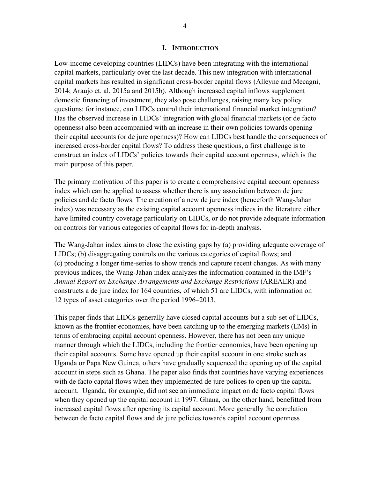Low-income developing countries (LIDCs) have been integrating with the international capital markets, particularly over the last decade. This new integration with international capital markets has resulted in significant cross-border capital flows (Alleyne and Mecagni, 2014; Araujo et. al, 2015a and 2015b). Although increased capital inflows supplement domestic financing of investment, they also pose challenges, raising many key policy questions: for instance, can LIDCs control their international financial market integration? Has the observed increase in LIDCs' integration with global financial markets (or de facto openness) also been accompanied with an increase in their own policies towards opening their capital accounts (or de jure openness)? How can LIDCs best handle the consequences of increased cross-border capital flows? To address these questions, a first challenge is to construct an index of LIDCs' policies towards their capital account openness, which is the main purpose of this paper.

The primary motivation of this paper is to create a comprehensive capital account openness index which can be applied to assess whether there is any association between de jure policies and de facto flows. The creation of a new de jure index (henceforth Wang-Jahan index) was necessary as the existing capital account openness indices in the literature either have limited country coverage particularly on LIDCs, or do not provide adequate information on controls for various categories of capital flows for in-depth analysis.

The Wang-Jahan index aims to close the existing gaps by (a) providing adequate coverage of LIDCs; (b) disaggregating controls on the various categories of capital flows; and (c) producing a longer time-series to show trends and capture recent changes. As with many previous indices, the Wang-Jahan index analyzes the information contained in the IMF's *Annual Report on Exchange Arrangements and Exchange Restrictions* (AREAER) and constructs a de jure index for 164 countries, of which 51 are LIDCs, with information on 12 types of asset categories over the period 1996–2013.

This paper finds that LIDCs generally have closed capital accounts but a sub-set of LIDCs, known as the frontier economies, have been catching up to the emerging markets (EMs) in terms of embracing capital account openness. However, there has not been any unique manner through which the LIDCs, including the frontier economies, have been opening up their capital accounts. Some have opened up their capital account in one stroke such as Uganda or Papa New Guinea, others have gradually sequenced the opening up of the capital account in steps such as Ghana. The paper also finds that countries have varying experiences with de facto capital flows when they implemented de jure polices to open up the capital account. Uganda, for example, did not see an immediate impact on de facto capital flows when they opened up the capital account in 1997. Ghana, on the other hand, benefitted from increased capital flows after opening its capital account. More generally the correlation between de facto capital flows and de jure policies towards capital account openness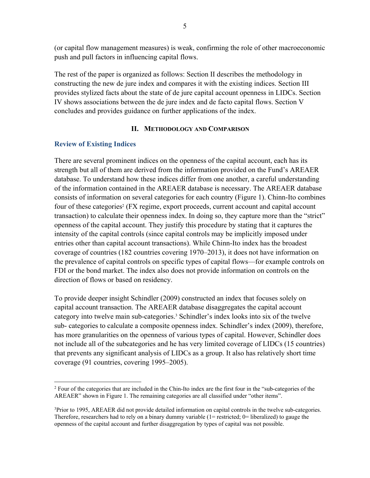(or capital flow management measures) is weak, confirming the role of other macroeconomic push and pull factors in influencing capital flows.

The rest of the paper is organized as follows: Section II describes the methodology in constructing the new de jure index and compares it with the existing indices. Section III provides stylized facts about the state of de jure capital account openness in LIDCs. Section IV shows associations between the de jure index and de facto capital flows. Section V concludes and provides guidance on further applications of the index.

## **II. METHODOLOGY AND COMPARISON**

# **Review of Existing Indices**

 $\overline{a}$ 

There are several prominent indices on the openness of the capital account, each has its strength but all of them are derived from the information provided on the Fund's AREAER database. To understand how these indices differ from one another, a careful understanding of the information contained in the AREAER database is necessary. The AREAER database consists of information on several categories for each country (Figure 1). Chinn-Ito combines four of these categories<sup>2</sup> (FX regime, export proceeds, current account and capital account transaction) to calculate their openness index. In doing so, they capture more than the "strict" openness of the capital account. They justify this procedure by stating that it captures the intensity of the capital controls (since capital controls may be implicitly imposed under entries other than capital account transactions). While Chinn-Ito index has the broadest coverage of countries (182 countries covering 1970–2013), it does not have information on the prevalence of capital controls on specific types of capital flows—for example controls on FDI or the bond market. The index also does not provide information on controls on the direction of flows or based on residency.

To provide deeper insight Schindler (2009) constructed an index that focuses solely on capital account transaction. The AREAER database disaggregates the capital account category into twelve main sub-categories.<sup>3</sup> Schindler's index looks into six of the twelve sub- categories to calculate a composite openness index. Schindler's index (2009), therefore, has more granularities on the openness of various types of capital. However, Schindler does not include all of the subcategories and he has very limited coverage of LIDCs (15 countries) that prevents any significant analysis of LIDCs as a group. It also has relatively short time coverage (91 countries, covering 1995–2005).

<sup>&</sup>lt;sup>2</sup> Four of the categories that are included in the Chin-Ito index are the first four in the "sub-categories of the AREAER" shown in Figure 1. The remaining categories are all classified under "other items".

<sup>3</sup> Prior to 1995, AREAER did not provide detailed information on capital controls in the twelve sub-categories. Therefore, researchers had to rely on a binary dummy variable  $(1=$  restricted;  $0=$  liberalized) to gauge the openness of the capital account and further disaggregation by types of capital was not possible.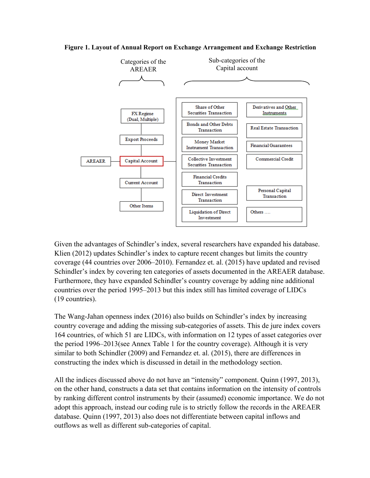

#### **Figure 1. Layout of Annual Report on Exchange Arrangement and Exchange Restriction**

Given the advantages of Schindler's index, several researchers have expanded his database. Klien (2012) updates Schindler's index to capture recent changes but limits the country coverage (44 countries over 2006–2010). Fernandez et. al. (2015) have updated and revised Schindler's index by covering ten categories of assets documented in the AREAER database. Furthermore, they have expanded Schindler's country coverage by adding nine additional countries over the period 1995–2013 but this index still has limited coverage of LIDCs (19 countries).

The Wang-Jahan openness index (2016) also builds on Schindler's index by increasing country coverage and adding the missing sub-categories of assets. This de jure index covers 164 countries, of which 51 are LIDCs, with information on 12 types of asset categories over the period 1996–2013(see Annex Table 1 for the country coverage). Although it is very similar to both Schindler (2009) and Fernandez et. al. (2015), there are differences in constructing the index which is discussed in detail in the methodology section.

All the indices discussed above do not have an "intensity" component. Quinn (1997, 2013), on the other hand, constructs a data set that contains information on the intensity of controls by ranking different control instruments by their (assumed) economic importance. We do not adopt this approach, instead our coding rule is to strictly follow the records in the AREAER database. Quinn (1997, 2013) also does not differentiate between capital inflows and outflows as well as different sub-categories of capital.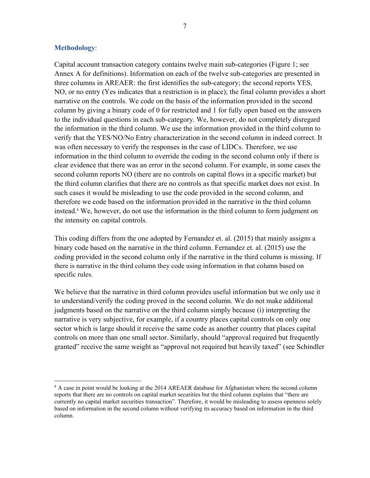#### **Methodology**:

 $\overline{a}$ 

Capital account transaction category contains twelve main sub-categories (Figure 1; see Annex A for definitions). Information on each of the twelve sub-categories are presented in three columns in AREAER: the first identifies the sub-category; the second reports YES, NO, or no entry (Yes indicates that a restriction is in place); the final column provides a short narrative on the controls. We code on the basis of the information provided in the second column by giving a binary code of 0 for restricted and 1 for fully open based on the answers to the individual questions in each sub-category. We, however, do not completely disregard the information in the third column. We use the information provided in the third column to verify that the YES/NO/No Entry characterization in the second column in indeed correct. It was often necessary to verify the responses in the case of LIDCs. Therefore, we use information in the third column to override the coding in the second column only if there is clear evidence that there was an error in the second column. For example, in some cases the second column reports NO (there are no controls on capital flows in a specific market) but the third column clarifies that there are no controls as that specific market does not exist. In such cases it would be misleading to use the code provided in the second column, and therefore we code based on the information provided in the narrative in the third column instead.4 We, however, do not use the information in the third column to form judgment on the intensity on capital controls.

This coding differs from the one adopted by Fernandez et. al. (2015) that mainly assigns a binary code based on the narrative in the third column. Fernandez et. al. (2015) use the coding provided in the second column only if the narrative in the third column is missing. If there is narrative in the third column they code using information in that column based on specific rules.

We believe that the narrative in third column provides useful information but we only use it to understand/verify the coding proved in the second column. We do not make additional judgments based on the narrative on the third column simply because (i) interpreting the narrative is very subjective, for example, if a country places capital controls on only one sector which is large should it receive the same code as another country that places capital controls on more than one small sector. Similarly, should "approval required but frequently granted" receive the same weight as "approval not required but heavily taxed" (see Schindler

<sup>&</sup>lt;sup>4</sup> A case in point would be looking at the 2014 AREAER database for Afghanistan where the second column reports that there are no controls on capital market securities but the third column explains that "there are currently no capital market securities transaction". Therefore, it would be misleading to assess openness solely based on information in the second column without verifying its accuracy based on information in the third column.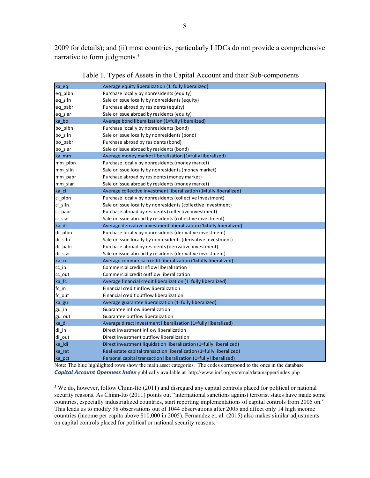2009 for details); and (ii) most countries, particularly LIDCs do not provide a comprehensive narrative to form judgments.<sup>5</sup>

| ka_eq   | Average equity liberalization (1=fully liberalized)                  |
|---------|----------------------------------------------------------------------|
| eq_plbn | Purchase locally by nonresidents (equity)                            |
| eq_siln | Sale or issue locally by nonresidents (equity)                       |
| eq pabr | Purchase abroad by residents (equity)                                |
| eq siar | Sale or issue abroad by residents (equity)                           |
| ka_bo   | Average bond liberalization (1=fully liberalized)                    |
| bo_plbn | Purchase locally by nonresidents (bond)                              |
| bo_siln | Sale or issue locally by nonresidents (bond)                         |
| bo pabr | Purchase abroad by residents (bond)                                  |
| bo_siar | Sale or issue abroad by residents (bond)                             |
| ka_mm   | Average money market liberalization (1=fully liberalized)            |
| mm plbn | Purchase locally by nonresidents (money market)                      |
| mm siln | Sale or issue locally by nonresidents (money market)                 |
| mm_pabr | Purchase abroad by residents (money market)                          |
| mm_siar | Sale or issue abroad by residents (money market)                     |
| ka ci   | Average collective investment liberalization (1=fully liberalized)   |
| ci_plbn | Purchase locally by nonresidents (collective investment)             |
| ci_siln | Sale or issue locally by nonresidents (collective investment)        |
| ci_pabr | Purchase abroad by residents (collective investment)                 |
| ci siar | Sale or issue abroad by residents (collective investment)            |
| ka_dr   | Average derivative investment liberalization (1=fully liberalized)   |
| dr_plbn | Purchase locally by nonresidents (derivative investment)             |
| dr_siln | Sale or issue locally by nonresidents (derivative investment)        |
| dr_pabr | Purchase abroad by residents (derivative investment)                 |
| dr siar | Sale or issue abroad by residents (derivative investment)            |
| ka_cc   | Average commercial credit liberalization (1=fully liberalized)       |
| cc_in   | Commercial credit inflow liberalization                              |
| cc out  | Commercial credit outflow liberalization                             |
| ka_fc   | Average financial credit liberalization (1=fully liberalized)        |
| $fc_in$ | Financial credit inflow liberalization                               |
| fc_out  | Financial credit outflow liberalization                              |
| ka gu   | Average guarantee liberalization (1=fully liberalized)               |
| gu_in   | Guarantee inflow liberalization                                      |
| gu_out  | Guarantee outflow liberalization                                     |
| ka_di   | Average direct investment liberalization (1=fully liberalized)       |
| di_in   | Direct investment inflow liberalization                              |
| di out  | Direct investment outflow liberalization                             |
| ka_Idi  | Direct investment liquidation liberalization (1=fully liberalized)   |
| ka_ret  | Real estate capital transaction liberalization (1=fully liberalized) |
| ka pct  | Personal capital transaction liberalization (1=fully liberalized)    |

Table 1. Types of Assets in the Capital Account and their Sub-components

Note: The blue highlighted rows show the main asset categories. The codes correspond to the ones in the database *Capital Account Openness Index* publically available at http://www.imf.org/external/datamapper/index.php

 $\overline{a}$ 

<sup>&</sup>lt;sup>5</sup> We do, however, follow Chinn-Ito (2011) and disregard any capital controls placed for political or national security reasons. As Chinn-Ito (2011) points out "international sanctions against terrorist states have made some countries, especially industrialized countries, start reporting implementations of capital controls from 2005 on." This leads us to modify 98 observations out of 1044 observations after 2005 and affect only 14 high income countries (income per capita above \$10,000 in 2005). Fernandez et. al. (2015) also makes similar adjustments on capital controls placed for political or national security reasons.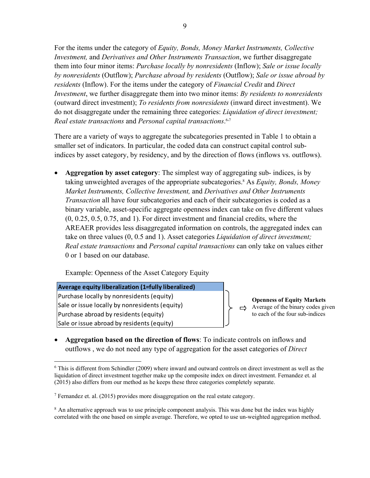For the items under the category of *Equity, Bonds, Money Market Instruments, Collective Investment,* and *Derivatives and Other Instruments Transaction*, we further disaggregate them into four minor items: *Purchase locally by nonresidents* (Inflow); *Sale or issue locally by nonresidents* (Outflow); *Purchase abroad by residents* (Outflow); *Sale or issue abroad by residents* (Inflow). For the items under the category of *Financial Credit* and *Direct Investment*, we further disaggregate them into two minor items: *By residents to nonresidents* (outward direct investment); *To residents from nonresidents* (inward direct investment). We do not disaggregate under the remaining three categories: *Liquidation of direct investment; Real estate transactions* and *Personal capital transactions*. 6,7

There are a variety of ways to aggregate the subcategories presented in Table 1 to obtain a smaller set of indicators. In particular, the coded data can construct capital control subindices by asset category, by residency, and by the direction of flows (inflows vs. outflows).

 **Aggregation by asset category**: The simplest way of aggregating sub- indices, is by taking unweighted averages of the appropriate subcategories.8 As *Equity, Bonds, Money Market Instruments, Collective Investment,* and *Derivatives and Other Instruments Transaction* all have four subcategories and each of their subcategories is coded as a binary variable, asset-specific aggregate openness index can take on five different values (0, 0.25, 0.5, 0.75, and 1). For direct investment and financial credits, where the AREAER provides less disaggregated information on controls, the aggregated index can take on three values (0, 0.5 and 1). Asset categories *Liquidation of direct investment; Real estate transactions* and *Personal capital transactions* can only take on values either 0 or 1 based on our database.

Example: Openness of the Asset Category Equity

**Average equity liberalization (1=fully liberalized)** Purchase locally by nonresidents (equity) Sale or issue locally by nonresidents (equity) Purchase abroad by residents (equity) Sale or issue abroad by residents (equity)

 **Openness of Equity Markets**   $\implies$  Average of the binary codes given to each of the four sub-indices

 **Aggregation based on the direction of flows**: To indicate controls on inflows and outflows , we do not need any type of aggregation for the asset categories of *Direct* 

<sup>1</sup> 6 This is different from Schindler (2009) where inward and outward controls on direct investment as well as the liquidation of direct investment together make up the composite index on direct investment. Fernandez et. al (2015) also differs from our method as he keeps these three categories completely separate.

<sup>&</sup>lt;sup>7</sup> Fernandez et. al. (2015) provides more disaggregation on the real estate category.

<sup>&</sup>lt;sup>8</sup> An alternative approach was to use principle component analysis. This was done but the index was highly correlated with the one based on simple average. Therefore, we opted to use un-weighted aggregation method.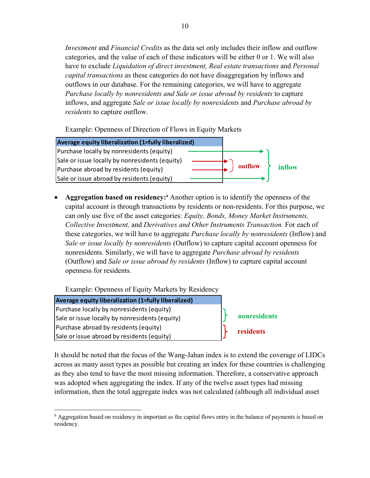*Investment* and *Financial Credits* as the data set only includes their inflow and outflow categories, and the value of each of these indicators will be either 0 or 1. We will also have to exclude *Liquidation of direct investment, Real estate transactions* and *Personal capital transactions* as these categories do not have disaggregation by inflows and outflows in our database. For the remaining categories, we will have to aggregate *Purchase locally by nonresidents and Sale or issue abroad by residents* to capture inflows, and aggregate *Sale or issue locally by nonresidents* and *Purchase abroad by residents* to capture outflow.

Example: Openness of Direction of Flows in Equity Markets



• **Aggregation based on residency:** Another option is to identify the openness of the capital account is through transactions by residents or non-residents. For this purpose, we can only use five of the asset categories: *Equity, Bonds, Money Market Instruments, Collective Investment,* and *Derivatives and Other Instruments Transaction.* For each of these categories, we will have to aggregate *Purchase locally by nonresidents* (Inflow) and *Sale or issue locally by nonresidents* (Outflow) to capture capital account openness for nonresidents. Similarly, we will have to aggregate *Purchase abroad by residents* (Outflow) and *Sale or issue abroad by residents* (Inflow) to capture capital account openness for residents.

Example: Openness of Equity Markets by Residency

1



It should be noted that the focus of the Wang-Jahan index is to extend the coverage of LIDCs across as many asset types as possible but creating an index for these countries is challenging as they also tend to have the most missing information. Therefore, a conservative approach was adopted when aggregating the index. If any of the twelve asset types had missing information, then the total aggregate index was not calculated (although all individual asset

<sup>&</sup>lt;sup>9</sup> Aggregation based on residency in important as the capital flows entry in the balance of payments is based on residency.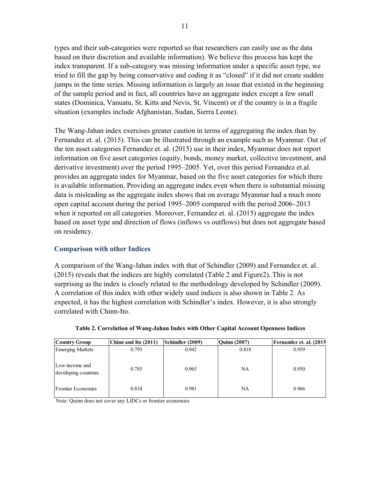types and their sub-categories were reported so that researchers can easily use as the data based on their discretion and available information). We believe this process has kept the index transparent. If a sub-category was missing information under a specific asset type, we tried to fill the gap by being conservative and coding it as "closed" if it did not create sudden jumps in the time series. Missing information is largely an issue that existed in the beginning of the sample period and in fact, all countries have an aggregate index except a few small states (Dominica, Vanuatu, St. Kitts and Nevis, St. Vincent) or if the country is in a fragile situation (examples include Afghanistan, Sudan, Sierra Leone).

The Wang-Jahan index exercises greater caution in terms of aggregating the index than by Fernandez et. al. (2015). This can be illustrated through an example such as Myanmar. Out of the ten asset categories Fernandez et. al. (2015) use in their index, Myanmar does not report information on five asset categories (equity, bonds, money market, collective investment, and derivative investment) over the period 1995–2005. Yet, over this period Fernandez et.al. provides an aggregate index for Myanmar, based on the five asset categories for which there is available information. Providing an aggregate index even when there is substantial missing data is misleading as the aggregate index shows that on average Myanmar had a much more open capital account during the period 1995–2005 compared with the period 2006–2013 when it reported on all categories. Moreover, Fernandez et. al. (2015) aggregate the index based on asset type and direction of flows (inflows vs outflows) but does not aggregate based on residency.

# **Comparison with other Indices**

A comparison of the Wang-Jahan index with that of Schindler (2009) and Fernandez et. al. (2015) reveals that the indices are highly correlated (Table 2 and Figure2). This is not surprising as the index is closely related to the methodology developed by Schindler (2009). A correlation of this index with other widely used indices is also shown in Table 2. As expected, it has the highest correlation with Schindler's index. However, it is also strongly correlated with Chinn-Ito.

| <b>Country Group</b>                   | Chinn and Ito (2011) | Schindler (2009) | <b>Quinn (2007)</b> | Fernandez et. al. (2015) |
|----------------------------------------|----------------------|------------------|---------------------|--------------------------|
| <b>Emerging Markets</b>                | 0.793                | 0.942            | 0.818               | 0.959                    |
| Low-income and<br>developing countries | 0.785                | 0.965            | NA                  | 0.950                    |
| <b>Frontier Economies</b>              | 0.834                | 0.981            | NA                  | 0.966                    |

|  |  |  | Table 2. Correlation of Wang-Jahan Index with Other Capital Account Openness Indices |
|--|--|--|--------------------------------------------------------------------------------------|
|  |  |  |                                                                                      |

Note: Quinn does not cover any LIDCs or frontier economies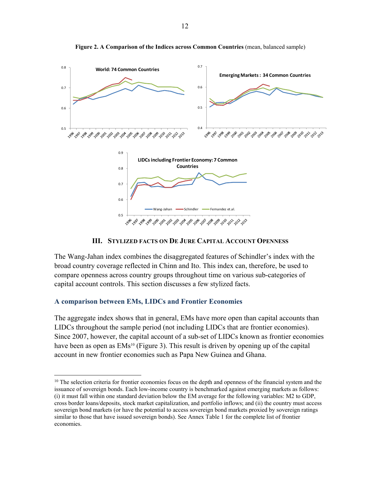

**Figure 2. A Comparison of the Indices across Common Countries** (mean, balanced sample)

#### **III. STYLIZED FACTS ON DE JURE CAPITAL ACCOUNT OPENNESS**

The Wang-Jahan index combines the disaggregated features of Schindler's index with the broad country coverage reflected in Chinn and Ito. This index can, therefore, be used to compare openness across country groups throughout time on various sub-categories of capital account controls. This section discusses a few stylized facts.

#### **A comparison between EMs, LIDCs and Frontier Economies**

 $\overline{a}$ 

The aggregate index shows that in general, EMs have more open than capital accounts than LIDCs throughout the sample period (not including LIDCs that are frontier economies). Since 2007, however, the capital account of a sub-set of LIDCs known as frontier economies have been as open as  $EMs<sup>10</sup>$  (Figure 3). This result is driven by opening up of the capital account in new frontier economies such as Papa New Guinea and Ghana.

 $10$  The selection criteria for frontier economies focus on the depth and openness of the financial system and the issuance of sovereign bonds. Each low-income country is benchmarked against emerging markets as follows: (i) it must fall within one standard deviation below the EM average for the following variables: M2 to GDP, cross border loans/deposits, stock market capitalization, and portfolio inflows; and (ii) the country must access sovereign bond markets (or have the potential to access sovereign bond markets proxied by sovereign ratings similar to those that have issued sovereign bonds). See Annex Table 1 for the complete list of frontier economies.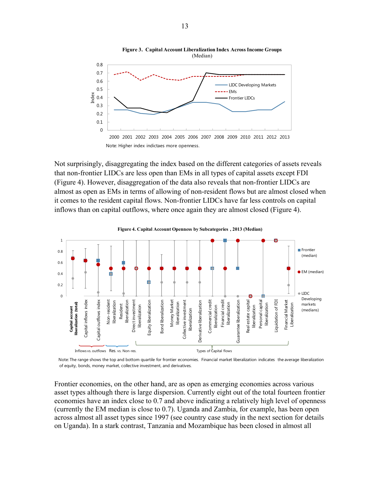

Not surprisingly, disaggregating the index based on the different categories of assets reveals that non-frontier LIDCs are less open than EMs in all types of capital assets except FDI (Figure 4). However, disaggregation of the data also reveals that non-frontier LIDCs are almost as open as EMs in terms of allowing of non-resident flows but are almost closed when it comes to the resident capital flows. Non-frontier LIDCs have far less controls on capital inflows than on capital outflows, where once again they are almost closed (Figure 4).





Note: The range shows the top and bottom quartile for frontier economies. Financial market liberalization indicates the average liberalization of equity, bonds, money market, collective investment, and derivatives.

Frontier economies, on the other hand, are as open as emerging economies across various asset types although there is large dispersion. Currently eight out of the total fourteen frontier economies have an index close to 0.7 and above indicating a relatively high level of openness (currently the EM median is close to 0.7). Uganda and Zambia, for example, has been open across almost all asset types since 1997 (see country case study in the next section for details on Uganda). In a stark contrast, Tanzania and Mozambique has been closed in almost all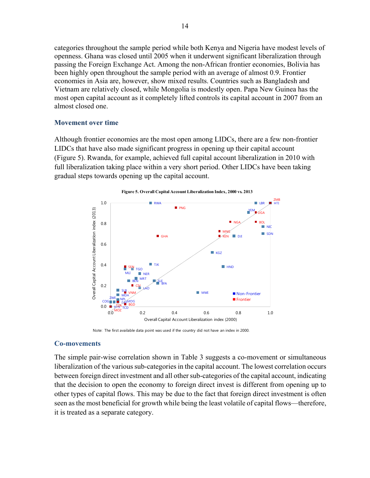categories throughout the sample period while both Kenya and Nigeria have modest levels of openness. Ghana was closed until 2005 when it underwent significant liberalization through passing the Foreign Exchange Act. Among the non-African frontier economies, Bolivia has been highly open throughout the sample period with an average of almost 0.9. Frontier economies in Asia are, however, show mixed results. Countries such as Bangladesh and Vietnam are relatively closed, while Mongolia is modestly open. Papa New Guinea has the most open capital account as it completely lifted controls its capital account in 2007 from an almost closed one.

#### **Movement over time**

Although frontier economies are the most open among LIDCs, there are a few non-frontier LIDCs that have also made significant progress in opening up their capital account (Figure 5). Rwanda, for example, achieved full capital account liberalization in 2010 with full liberalization taking place within a very short period. Other LIDCs have been taking gradual steps towards opening up the capital account.



Note: The first available data point was used if the country did not have an index in 2000.

## **Co-movements**

The simple pair-wise correlation shown in Table 3 suggests a co-movement or simultaneous liberalization of the various sub-categories in the capital account. The lowest correlation occurs between foreign direct investment and all other sub-categories of the capital account, indicating that the decision to open the economy to foreign direct invest is different from opening up to other types of capital flows. This may be due to the fact that foreign direct investment is often seen as the most beneficial for growth while being the least volatile of capital flows—therefore, it is treated as a separate category.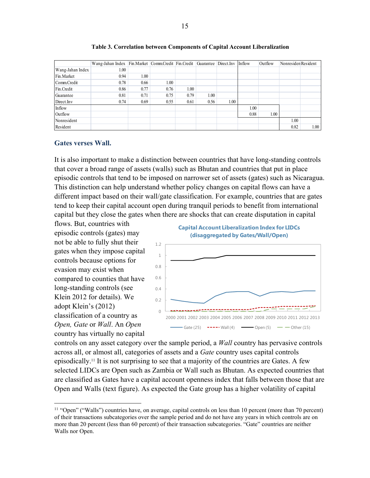|                  | Wang-Jahan Index Fin.Market Comm.Credit Fin.Credit Guarantee Direct.Inv Inflow |      |      |      |      |      |      | Outflow | Nonresider Resident |      |
|------------------|--------------------------------------------------------------------------------|------|------|------|------|------|------|---------|---------------------|------|
| Wang-Jahan Index | 1.00                                                                           |      |      |      |      |      |      |         |                     |      |
| Fin.Market       | 0.94                                                                           | 1.00 |      |      |      |      |      |         |                     |      |
| Comm.Credit      | 0.78                                                                           | 0.66 | 1.00 |      |      |      |      |         |                     |      |
| Fin.Credit       | 0.86                                                                           | 0.77 | 0.76 | 1.00 |      |      |      |         |                     |      |
| Guarantee        | 0.81                                                                           | 0.71 | 0.75 | 0.79 | 1.00 |      |      |         |                     |      |
| Direct.Inv       | 0.74                                                                           | 0.69 | 0.55 | 0.61 | 0.56 | 1.00 |      |         |                     |      |
| Inflow           |                                                                                |      |      |      |      |      | 1.00 |         |                     |      |
| Outflow          |                                                                                |      |      |      |      |      | 0.88 | 1.00    |                     |      |
| Nonresident      |                                                                                |      |      |      |      |      |      |         | 1.00                |      |
| Resident         |                                                                                |      |      |      |      |      |      |         | 0.82                | 1.00 |

#### **Table 3. Correlation between Components of Capital Account Liberalization**

#### **Gates verses Wall.**

It is also important to make a distinction between countries that have long-standing controls that cover a broad range of assets (walls) such as Bhutan and countries that put in place episodic controls that tend to be imposed on narrower set of assets (gates) such as Nicaragua. This distinction can help understand whether policy changes on capital flows can have a different impact based on their wall/gate classification. For example, countries that are gates tend to keep their capital account open during tranquil periods to benefit from international capital but they close the gates when there are shocks that can create disputation in capital

flows. But, countries with episodic controls (gates) may not be able to fully shut their gates when they impose capital controls because options for evasion may exist when compared to counties that have long-standing controls (see Klein 2012 for details). We adopt Klein's (2012) classification of a country as *Open, Gate* or *Wall*. An *Open* country has virtually no capital

 $\overline{a}$ 



controls on any asset category over the sample period, a *Wall* country has pervasive controls across all, or almost all, categories of assets and a *Gate* country uses capital controls episodically.11 It is not surprising to see that a majority of the countries are Gates. A few selected LIDCs are Open such as Zambia or Wall such as Bhutan. As expected countries that are classified as Gates have a capital account openness index that falls between those that are Open and Walls (text figure). As expected the Gate group has a higher volatility of capital

 $11$  "Open" ("Walls") countries have, on average, capital controls on less than 10 percent (more than 70 percent) of their transactions subcategories over the sample period and do not have any years in which controls are on more than 20 percent (less than 60 percent) of their transaction subcategories. "Gate" countries are neither Walls nor Open.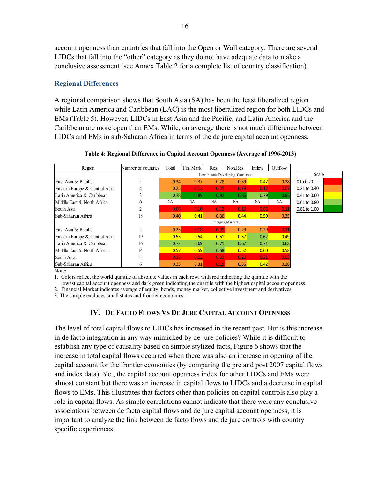account openness than countries that fall into the Open or Wall category. There are several LIDCs that fall into the "other" category as they do not have adequate data to make a conclusive assessment (see Annex Table 2 for a complete list of country classification).

# **Regional Differences**

A regional comparison shows that South Asia (SA) has been the least liberalized region while Latin America and Caribbean (LAC) is the most liberalized region for both LIDCs and EMs (Table 5). However, LIDCs in East Asia and the Pacific, and Latin America and the Caribbean are more open than EMs. While, on average there is not much difference between LIDCs and EMs in sub-Saharan Africa in terms of the de jure capital account openness.

| Region                        | Number of countries | Total     | Fin. Mark                       | Res.      | Non Res.                | Inflow    | Outflow |              |
|-------------------------------|---------------------|-----------|---------------------------------|-----------|-------------------------|-----------|---------|--------------|
|                               |                     |           | Low Income Developing Countries |           |                         |           |         | Scale        |
| East Asia & Pacific           |                     | 0.34      | 0.37                            | 0.28      | 0.39                    | 0.47      | 0.28    | 0 to 0.20    |
| Eastern Europe & Central Asia | 4                   | 0.25      | 0.12                            | 0.05      | 0.19                    | 0.17      | 0.07    | 0.21 to 0.40 |
| Latin America & Caribbean     |                     | 0.78      | 0.89                            | 0.92      | 0.86                    | 0.79      | 0.85    | 0.41 to 0.60 |
| Middle East & North Africa    |                     | <b>NA</b> | <b>NA</b>                       | <b>NA</b> | NA                      | <b>NA</b> | NA.     | 0.61 to 0.80 |
| South Asia                    | 2                   | 0.06      | 0.10                            | 0.12      | 0.10                    | 0.08      | 0.11    | 0.81 to 1.00 |
| Sub-Saharan Africa            | 18                  | 0.40      | 0.41                            | 0.36      | 0.44                    | 0.50      | 0.35    |              |
|                               |                     |           |                                 |           | <b>Emerging Markets</b> |           |         |              |
| East Asia & Pacific           | 5                   | 0.25      | 0.18                            | 0.09      | 0.29                    | 0.29      | 0.11    |              |
| Eastern Europe & Central Asia | 19                  | 0.55      | 0.54                            | 0.51      | 0.57                    | 0.62      | 0.49    |              |
| Latin America & Caribbean     | 16                  | 0.72      | 0.69                            | 0.71      | 0.67                    | 0.71      | 0.68    |              |
| Middle East & North Africa    | 14                  | 0.57      | 0.59                            | 0.68      | 0.52                    | 0.60      | 0.58    |              |
| South Asia                    | 3                   | 0.13      | 0.12                            | 0.03      | 0.20                    | 0.21      | 0.03    |              |
| Sub-Saharan Africa<br>.       | 6                   | 0.35      | 0.31                            | 0.19      | 0.36                    | 0.42      | 0.28    |              |

**Table 4: Regional Difference in Capital Account Openness (Average of 1996-2013)** 

Note:

1. Colors reflect the world quintile of absolute values in each row, with red indicating the quintile with the lowest capital account openness and dark green indicating the quartile with the highest capital account openness.

2. Financial Market indicates average of equity, bonds, money market, collective investment and derivatives.

3. The sample excludes small states and frontier economies.

# **IV. DE FACTO FLOWS VS DE JURE CAPITAL ACCOUNT OPENNESS**

The level of total capital flows to LIDCs has increased in the recent past. But is this increase in de facto integration in any way mimicked by de jure policies? While it is difficult to establish any type of causality based on simple stylized facts, Figure 6 shows that the increase in total capital flows occurred when there was also an increase in opening of the capital account for the frontier economies (by comparing the pre and post 2007 capital flows and index data). Yet, the capital account openness index for other LIDCs and EMs were almost constant but there was an increase in capital flows to LIDCs and a decrease in capital flows to EMs. This illustrates that factors other than policies on capital controls also play a role in capital flows. As simple correlations cannot indicate that there were any conclusive associations between de facto capital flows and de jure capital account openness, it is important to analyze the link between de facto flows and de jure controls with country specific experiences.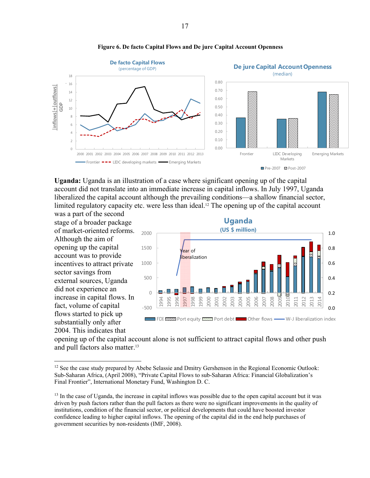

#### **Figure 6. De facto Capital Flows and De jure Capital Account Openness**

**Uganda:** Uganda is an illustration of a case where significant opening up of the capital account did not translate into an immediate increase in capital inflows. In July 1997, Uganda liberalized the capital account although the prevailing conditions—a shallow financial sector, limited regulatory capacity etc. were less than ideal.<sup>12</sup> The opening up of the capital account

was a part of the second stage of a broader package of market-oriented reforms. Although the aim of opening up the capital account was to provide incentives to attract private sector savings from external sources, Uganda did not experience an increase in capital flows. In fact, volume of capital flows started to pick up substantially only after 2004. This indicates that

 $\overline{a}$ 



opening up of the capital account alone is not sufficient to attract capital flows and other push and pull factors also matter.13

<sup>&</sup>lt;sup>12</sup> See the case study prepared by Abebe Selassie and Dmitry Gershenson in the Regional Economic Outlook: Sub-Saharan Africa, (April 2008), "Private Capital Flows to sub-Saharan Africa: Financial Globalization's Final Frontier", International Monetary Fund, Washington D. C.

<sup>&</sup>lt;sup>13</sup> In the case of Uganda, the increase in capital inflows was possible due to the open capital account but it was driven by push factors rather than the pull factors as there were no significant improvements in the quality of institutions, condition of the financial sector, or political developments that could have boosted investor confidence leading to higher capital inflows. The opening of the capital did in the end help purchases of government securities by non-residents (IMF, 2008).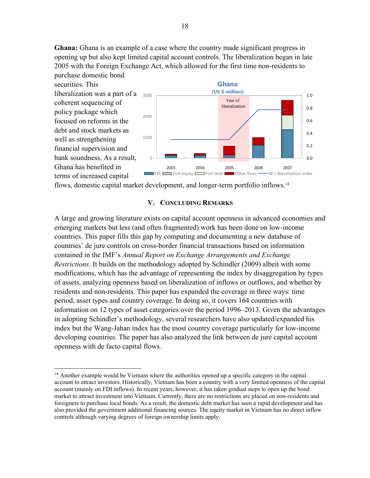**Ghana:** Ghana is an example of a case where the country made significant progress in opening up but also kept limited capital account controls. The liberalization began in late 2005 with the Foreign Exchange Act, which allowed for the first time non-residents to purchase domestic bond



flows, domestic capital market development, and longer-term portfolio inflows.14

## **V. CONCLUDING REMARKS**

A large and growing literature exists on capital account openness in advanced economies and emerging markets but less (and often fragmented) work has been done on low-income countries. This paper fills this gap by computing and documenting a new database of countries' de jure controls on cross-border financial transactions based on information contained in the IMF's *Annual Report on Exchange Arrangements and Exchange Restrictions*. It builds on the methodology adopted by Schindler (2009) albeit with some modifications, which has the advantage of representing the index by disaggregation by types of assets, analyzing openness based on liberalization of inflows or outflows, and whether by residents and non-residents. This paper has expanded the coverage in three ways: time period, asset types and country coverage. In doing so, it covers 164 countries with information on 12 types of asset categories over the period 1996–2013. Given the advantages in adopting Schindler's methodology, several researchers have also updated/expanded his index but the Wang-Jahan index has the most country coverage particularly for low-income developing countries. The paper has also analyzed the link between de jure capital account openness with de facto capital flows.

1

<sup>&</sup>lt;sup>14</sup> Another example would be Vietnam where the authorities opened up a specific category in the capital account to attract investors. Historically, Vietnam has been a country with a very limited openness of the capital account (mainly on FDI inflows). In recent years, however, it has taken gradual steps to open up the bond market to attract investment into Vietnam. Currently, there are no restrictions are placed on non-residents and foreigners to purchase local bonds. As a result, the domestic debt market has seen a rapid development and has also provided the government additional financing sources. The equity market in Vietnam has no direct inflow controls although varying degrees of foreign ownership limits apply.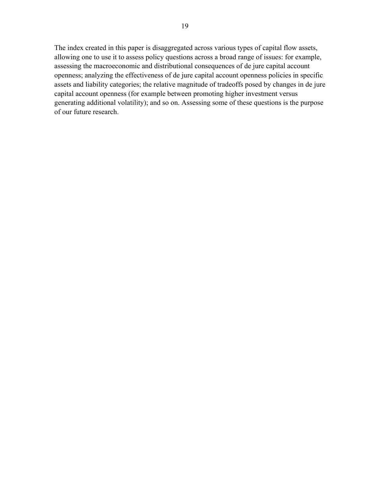The index created in this paper is disaggregated across various types of capital flow assets, allowing one to use it to assess policy questions across a broad range of issues: for example, assessing the macroeconomic and distributional consequences of de jure capital account openness; analyzing the effectiveness of de jure capital account openness policies in specific assets and liability categories; the relative magnitude of tradeoffs posed by changes in de jure capital account openness (for example between promoting higher investment versus generating additional volatility); and so on. Assessing some of these questions is the purpose of our future research.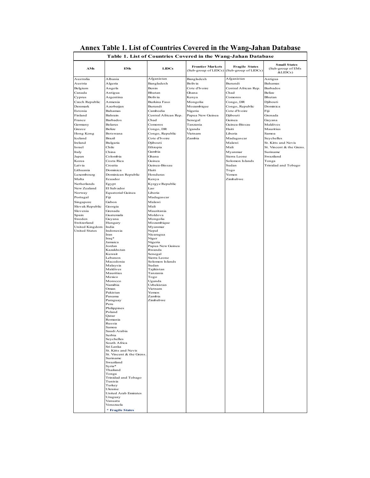| Table 1. List of Countries Covered in the Wang-Jahan Database |                            |                                  |                         |                                                                    |                                                     |  |
|---------------------------------------------------------------|----------------------------|----------------------------------|-------------------------|--------------------------------------------------------------------|-----------------------------------------------------|--|
| AMs                                                           | <b>EMs</b>                 | LIDCs                            | <b>Frontier Markets</b> | <b>Fragile States</b><br>(Sub-group of LIDCs) (Sub-group of LIDCs) | <b>Small States</b><br>(Sub-group of EMs<br>&LIDCs) |  |
| Australia                                                     | Albania                    | Afganistan                       | Bangladesh              | Afganistan                                                         | Antigua                                             |  |
| Austria                                                       | Algeria                    | Bangladesh                       | Bolivia                 | Burundi                                                            | Bahamas                                             |  |
| Belgium                                                       | Angola                     | Benin                            | Cote d'Ivoire           | Central African Rep.                                               | Barbados                                            |  |
| Canada                                                        | Antigua                    | Bhutan                           | Ghana                   | Chad                                                               | Belize                                              |  |
| Cyprus                                                        | Argentina                  | Bolivia                          | Kenya                   | Comoros                                                            | Bhutan                                              |  |
| Czech Republic                                                | Armenia                    | Burkina Faso                     | Mongolia                | Congo, DR                                                          | Djibouti                                            |  |
| Denmark                                                       | Azerbaijan                 | Burundi                          | Mozambique              | Congo, Republic                                                    | Dominica                                            |  |
| Estonia                                                       | Bahamas                    | Cambodia                         | Nigeria                 | Cote d'Ivoire                                                      | Fiji                                                |  |
| Finland                                                       | Bahrain                    | Central African Rep.             | Papua New Guinea        | Djibouti                                                           | Grenada                                             |  |
| France                                                        | <b>Barbados</b>            | Chad                             | Senegal                 | Guinea                                                             | Guyana                                              |  |
| Germany                                                       | <b>Belarus</b>             | Comoros                          | Tanzania                | Guinea-Bissau                                                      | Maldives                                            |  |
| Greece                                                        | Belize<br>Botswana         | Congo, DR                        | Uganda                  | Haiti<br>Liberia                                                   | Mauritius<br>Samoa                                  |  |
| Hong Kong<br>Iceland                                          | Brazil                     | Congo, Republic<br>Cote d'Ivoire | Vietnam<br>Zambia       | Madagascar                                                         | Seychelles                                          |  |
| Ireland                                                       | Bulgaria                   | Djibouti                         |                         | Malawi                                                             | St. Kitts and Nevis                                 |  |
| Israel                                                        | Chile                      | Ethiopia                         |                         | Mali                                                               | St. Vincent & the Grens.                            |  |
| Italy                                                         | China                      | Gambia                           |                         | Myanmar                                                            | Suriname                                            |  |
| Japan                                                         | Colombia                   | Ghana                            |                         | Sierra Leone                                                       | Swaziland                                           |  |
| Korea                                                         | Costa Rica                 | Guinea                           |                         | Solomon Islands                                                    | Tonga                                               |  |
| Latvia                                                        | Croatia                    | Guinea-Bissau                    |                         | Sudan                                                              | Trinidad and Tobago                                 |  |
| Lithuania                                                     | Dominica                   | Haiti                            |                         | Togo                                                               |                                                     |  |
| Luxembourg                                                    | Dominican Republic         | Honduras                         |                         | Yemen                                                              |                                                     |  |
| Malta                                                         | Ecuador                    | Kenya                            |                         | Zimbabwe                                                           |                                                     |  |
| Netherlands                                                   | Egypt                      | Kyrgyz Republic                  |                         |                                                                    |                                                     |  |
| New Zealand                                                   | El Salvador                | Lao                              |                         |                                                                    |                                                     |  |
| Norway                                                        | Equatorial Guinea          | Liberia                          |                         |                                                                    |                                                     |  |
| Portugal                                                      | Fiji                       | Madagascar                       |                         |                                                                    |                                                     |  |
| Singapore                                                     | Gabon                      | Malawi                           |                         |                                                                    |                                                     |  |
| Slovak Republic                                               | Georgia                    | Mali                             |                         |                                                                    |                                                     |  |
| Slovenia                                                      | Grenada                    | Mauritania                       |                         |                                                                    |                                                     |  |
| Spain<br>Sweden                                               | Guatemala<br>Guyana        | Moldova<br>Mongolia              |                         |                                                                    |                                                     |  |
| Switzerland                                                   | Hungary                    | Mozambique                       |                         |                                                                    |                                                     |  |
| United Kingdom                                                | India                      | Myanmar                          |                         |                                                                    |                                                     |  |
| <b>United States</b>                                          | Indonesia                  | Nepal                            |                         |                                                                    |                                                     |  |
|                                                               | Iran                       | Nicaragua                        |                         |                                                                    |                                                     |  |
|                                                               | $Iraq*$<br>Jamaica         | Niger<br>Nigeria                 |                         |                                                                    |                                                     |  |
|                                                               | Jordan                     | Papua New Guinea                 |                         |                                                                    |                                                     |  |
|                                                               | Kazakhstan                 | Rwanda                           |                         |                                                                    |                                                     |  |
|                                                               | Kuwait                     | Senegal                          |                         |                                                                    |                                                     |  |
|                                                               | Lebanon<br>Macedonia       | Sierra Leone<br>Solomon Islands  |                         |                                                                    |                                                     |  |
|                                                               | Malaysia                   | Sudan                            |                         |                                                                    |                                                     |  |
|                                                               | Maldives                   | Tajikistan                       |                         |                                                                    |                                                     |  |
|                                                               | Mauritius                  | Tanzania                         |                         |                                                                    |                                                     |  |
|                                                               | Mexico<br>Morocco          | Togo<br>Uganda                   |                         |                                                                    |                                                     |  |
|                                                               | Namibia                    | Uzbekistan                       |                         |                                                                    |                                                     |  |
|                                                               | Oman                       | Vietnam                          |                         |                                                                    |                                                     |  |
|                                                               | Pakistan                   | Yemen                            |                         |                                                                    |                                                     |  |
|                                                               | Panama                     | Zambia                           |                         |                                                                    |                                                     |  |
|                                                               | Paraguay<br>Peru           | Zimbabwe                         |                         |                                                                    |                                                     |  |
|                                                               | Philippines                |                                  |                         |                                                                    |                                                     |  |
|                                                               | Poland                     |                                  |                         |                                                                    |                                                     |  |
|                                                               | Oatar                      |                                  |                         |                                                                    |                                                     |  |
|                                                               | Romania<br>Russia          |                                  |                         |                                                                    |                                                     |  |
|                                                               | Samoa                      |                                  |                         |                                                                    |                                                     |  |
|                                                               | Saudi Arabia               |                                  |                         |                                                                    |                                                     |  |
|                                                               | Serbia                     |                                  |                         |                                                                    |                                                     |  |
|                                                               | Seychelles<br>South Africa |                                  |                         |                                                                    |                                                     |  |
|                                                               | Sri Lanka                  |                                  |                         |                                                                    |                                                     |  |
|                                                               | St. Kitts and Nevis        |                                  |                         |                                                                    |                                                     |  |
|                                                               | St. Vincent & the Grens.   |                                  |                         |                                                                    |                                                     |  |
|                                                               | Suriname<br>Swaziland      |                                  |                         |                                                                    |                                                     |  |
|                                                               | Syria*                     |                                  |                         |                                                                    |                                                     |  |
|                                                               | Thailand                   |                                  |                         |                                                                    |                                                     |  |
|                                                               | Tonga                      |                                  |                         |                                                                    |                                                     |  |
|                                                               | Trinidad and Tobago        |                                  |                         |                                                                    |                                                     |  |
|                                                               | Tunisia<br>Turkey          |                                  |                         |                                                                    |                                                     |  |
|                                                               | Ukraine                    |                                  |                         |                                                                    |                                                     |  |
|                                                               | United Arab Emirates       |                                  |                         |                                                                    |                                                     |  |
|                                                               | Uruguay<br>Vanuatu         |                                  |                         |                                                                    |                                                     |  |
|                                                               | Venezuela                  |                                  |                         |                                                                    |                                                     |  |
|                                                               | * Fragile States           |                                  |                         |                                                                    |                                                     |  |
|                                                               |                            |                                  |                         |                                                                    |                                                     |  |

# **Annex Table 1. List of Countries Covered in the Wang-Jahan Database**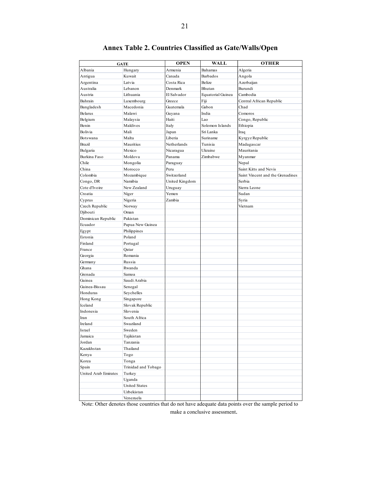| <b>GATE</b>          |                      | <b>OPEN</b>    | WALL                     | <b>OTHER</b>                     |
|----------------------|----------------------|----------------|--------------------------|----------------------------------|
| Albania              | Hungary              | Armenia        | Bahamas                  | Algeria                          |
| Antigua              | Kuwait               | Canada         | Barbados                 | Angola                           |
| Argentina            | Latvia               | Costa Rica     | Belize                   | Azerbaijan                       |
| Australia            | Lebanon              | Denmark        | Bhutan                   | Burundi                          |
| Austria              | Lithuania            | El Salvador    | <b>Equatorial Guinea</b> | Cambodia                         |
| Bahrain              | Luxembourg           | Greece         | Fiji                     | Central African Republic         |
| Bangladesh           | Macedonia            | Guatemala      | Gabon                    | Chad                             |
| Belarus              | Malawi               | Guyana         | India                    | Comoros                          |
| Belgium              | Malaysia             | Haiti          | Lao                      | Congo, Republic                  |
| Benin                | Maldives             | Italy          | Solomon Islands          | Ethiopia                         |
| Bolivia              | Mali                 | Japan          | Sri Lanka                | Iraq                             |
| Botswana             | Malta                | Liberia        | Suriname                 | Kyrgyz Republic                  |
| Brazil               | Mauritius            | Netherlands    | Tunisia                  | Madagascar                       |
| Bulgaria             | Mexico               | Nicaragua      | Ukraine                  | Mauritania                       |
| Burkina Faso         | Moldova              | Panama         | Zimbabwe                 | Myanmar                          |
| Chile                | Mongolia             | Paraguay       |                          | Nepal                            |
| China                | Morocco              | Peru           |                          | Saint Kitts and Nevis            |
| Colombia             | Mozambique           | Switzerland    |                          | Saint Vincent and the Grenadines |
| Congo, DR            | Namibia              | United Kingdom |                          | Serbia                           |
| Cote d'Ivoire        | New Zealand          | Uruguay        |                          | Sierra Leone                     |
| Croatia              | Niger                | Yemen          |                          | Sudan                            |
| Cyprus               | Nigeria              | Zambia         |                          | Syria                            |
| Czech Republic       | Norway               |                |                          | Vietnam                          |
| Djibouti             | Oman                 |                |                          |                                  |
| Dominican Republic   | Pakistan             |                |                          |                                  |
| Ecuador              | Papua New Guinea     |                |                          |                                  |
| Egypt                | Philippines          |                |                          |                                  |
| Estonia              | Poland               |                |                          |                                  |
| Finland              | Portugal             |                |                          |                                  |
| France               | Oatar                |                |                          |                                  |
| Georgia              | Romania              |                |                          |                                  |
| Germany              | Russia               |                |                          |                                  |
| Ghana                | Rwanda               |                |                          |                                  |
| Grenada              | Samoa                |                |                          |                                  |
| Guinea               | Saudi Arabia         |                |                          |                                  |
| Guinea-Bissau        | Senegal              |                |                          |                                  |
| Honduras             | Seychelles           |                |                          |                                  |
| Hong Kong            | Singapore            |                |                          |                                  |
| Iceland              | Slovak Republic      |                |                          |                                  |
| Indonesia            | Slovenia             |                |                          |                                  |
| Iran                 | South Africa         |                |                          |                                  |
| Ireland              | Swaziland            |                |                          |                                  |
| Israel               | Sweden               |                |                          |                                  |
| Jamaica              | Tajikistan           |                |                          |                                  |
| Jordan               | Tanzania             |                |                          |                                  |
| Kazakhstan           | Thailand             |                |                          |                                  |
| Kenya                | Togo                 |                |                          |                                  |
| Korea                | Tonga                |                |                          |                                  |
| Spain                | Trinidad and Tobago  |                |                          |                                  |
| United Arab Emirates | Turkey               |                |                          |                                  |
|                      | Uganda               |                |                          |                                  |
|                      | <b>United States</b> |                |                          |                                  |
|                      | Uzbekistan           |                |                          |                                  |
|                      | Venezuela            |                |                          |                                  |

# **Annex Table 2. Countries Classified as Gate/Walls/Open**

 Note: Other denotes those countries that do not have adequate data points over the sample period to make a conclusive assessment.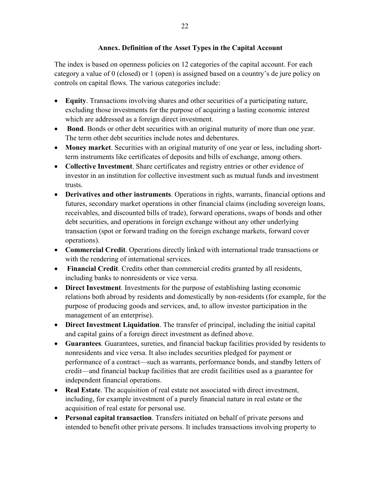# **Annex. Definition of the Asset Types in the Capital Account**

The index is based on openness policies on 12 categories of the capital account. For each category a value of 0 (closed) or 1 (open) is assigned based on a country's de jure policy on controls on capital flows. The various categories include:

- **Equity**. Transactions involving shares and other securities of a participating nature, excluding those investments for the purpose of acquiring a lasting economic interest which are addressed as a foreign direct investment.
- **Bond**. Bonds or other debt securities with an original maturity of more than one year. The term other debt securities include notes and debentures.
- **Money market**. Securities with an original maturity of one year or less, including shortterm instruments like certificates of deposits and bills of exchange, among others.
- **Collective Investment**. Share certificates and registry entries or other evidence of investor in an institution for collective investment such as mutual funds and investment trusts.
- **Derivatives and other instruments**. Operations in rights, warrants, financial options and futures, secondary market operations in other financial claims (including sovereign loans, receivables, and discounted bills of trade), forward operations, swaps of bonds and other debt securities, and operations in foreign exchange without any other underlying transaction (spot or forward trading on the foreign exchange markets, forward cover operations).
- **Commercial Credit**. Operations directly linked with international trade transactions or with the rendering of international services.
- **Financial Credit**. Credits other than commercial credits granted by all residents, including banks to nonresidents or vice versa.
- **Direct Investment**. Investments for the purpose of establishing lasting economic relations both abroad by residents and domestically by non-residents (for example, for the purpose of producing goods and services, and, to allow investor participation in the management of an enterprise).
- **Direct Investment Liquidation**. The transfer of principal, including the initial capital and capital gains of a foreign direct investment as defined above.
- **Guarantees**. Guarantees, sureties, and financial backup facilities provided by residents to nonresidents and vice versa. It also includes securities pledged for payment or performance of a contract—such as warrants, performance bonds, and standby letters of credit—and financial backup facilities that are credit facilities used as a guarantee for independent financial operations.
- **Real Estate**. The acquisition of real estate not associated with direct investment, including, for example investment of a purely financial nature in real estate or the acquisition of real estate for personal use.
- **Personal capital transaction**. Transfers initiated on behalf of private persons and intended to benefit other private persons. It includes transactions involving property to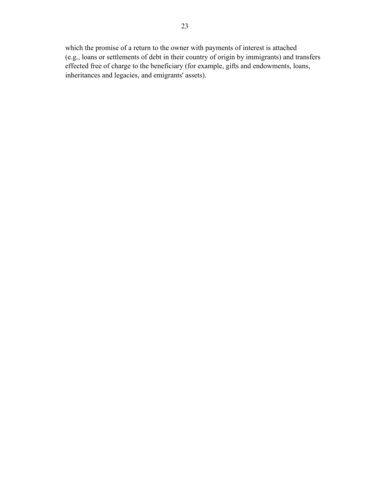which the promise of a return to the owner with payments of interest is attached (e.g., loans or settlements of debt in their country of origin by immigrants) and transfers effected free of charge to the beneficiary (for example, gifts and endowments, loans, inheritances and legacies, and emigrants' assets).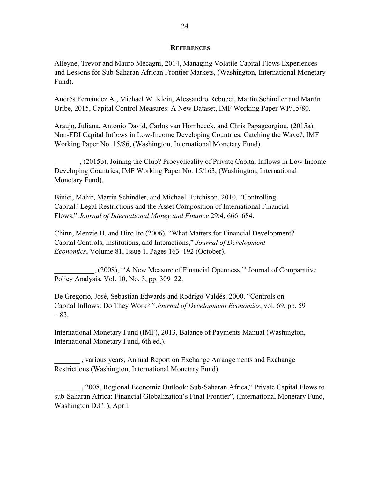#### **REFERENCES**

Alleyne, Trevor and Mauro Mecagni, 2014, Managing Volatile Capital Flows Experiences and Lessons for Sub-Saharan African Frontier Markets, (Washington, International Monetary Fund).

Andrés Fernández A., Michael W. Klein, Alessandro Rebucci, Martin Schindler and Martín Uribe, 2015, Capital Control Measures: A New Dataset, IMF Working Paper WP/15/80.

Araujo, Juliana, Antonio David, Carlos van Hombeeck, and Chris Papageorgiou, (2015a), Non-FDI Capital Inflows in Low-Income Developing Countries: Catching the Wave?, IMF Working Paper No. 15/86, (Washington, International Monetary Fund).

\_\_\_\_\_\_\_, (2015b), Joining the Club? Procyclicality of Private Capital Inflows in Low Income Developing Countries, IMF Working Paper No. 15/163, (Washington, International Monetary Fund).

Binici, Mahir, Martin Schindler, and Michael Hutchison. 2010. "Controlling Capital? Legal Restrictions and the Asset Composition of International Financial Flows," *Journal of International Money and Finance* 29:4, 666–684.

Chinn, Menzie D. and Hiro Ito (2006). "What Matters for Financial Development? Capital Controls, Institutions, and Interactions," *Journal of Development Economics*, Volume 81, Issue 1, Pages 163–192 (October).

\_\_\_\_\_\_\_\_\_\_\_, (2008), ''A New Measure of Financial Openness,'' Journal of Comparative Policy Analysis, Vol. 10, No. 3, pp. 309–22.

De Gregorio, José, Sebastian Edwards and Rodrigo Valdés. 2000. "Controls on Capital Inflows: Do They Work*?" Journal of Development Economics*, vol. 69, pp. 59 – 83.

International Monetary Fund (IMF), 2013, Balance of Payments Manual (Washington, International Monetary Fund, 6th ed.).

\_\_\_\_\_\_\_ , various years, Annual Report on Exchange Arrangements and Exchange Restrictions (Washington, International Monetary Fund).

\_\_\_\_\_\_\_ , 2008, Regional Economic Outlook: Sub-Saharan Africa," Private Capital Flows to sub-Saharan Africa: Financial Globalization's Final Frontier", (International Monetary Fund, Washington D.C. ), April.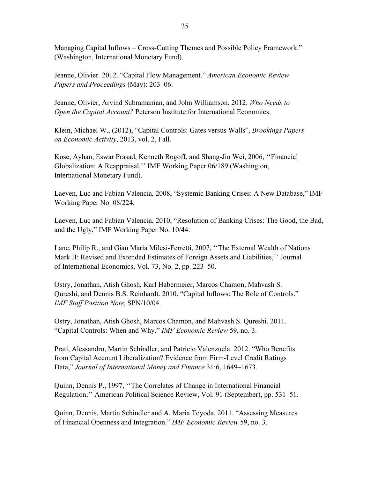Managing Capital Inflows – Cross-Cutting Themes and Possible Policy Framework." (Washington, International Monetary Fund).

Jeanne, Olivier. 2012. "Capital Flow Management." *American Economic Review Papers and Proceedings* (May): 203–06.

Jeanne, Olivier, Arvind Subramanian, and John Williamson. 2012. *Who Needs to Open the Capital Account?* Peterson Institute for International Economics.

Klein, Michael W., (2012), "Capital Controls: Gates versus Walls", *Brookings Papers on Economic Activity*, 2013, vol. 2, Fall.

Kose, Ayhan, Eswar Prasad, Kenneth Rogoff, and Shang-Jin Wei, 2006, ''Financial Globalization: A Reappraisal,'' IMF Working Paper 06/189 (Washington, International Monetary Fund).

Laeven, Luc and Fabian Valencia, 2008, "Systemic Banking Crises: A New Database," IMF Working Paper No. 08/224.

Laeven, Luc and Fabian Valencia, 2010, "Resolution of Banking Crises: The Good, the Bad, and the Ugly," IMF Working Paper No. 10/44.

Lane, Philip R., and Gian Maria Milesi-Ferretti, 2007, ''The External Wealth of Nations Mark II: Revised and Extended Estimates of Foreign Assets and Liabilities,'' Journal of International Economics, Vol. 73, No. 2, pp. 223–50.

Ostry, Jonathan, Atish Ghosh, Karl Habermeier, Marcos Chamon, Mahvash S. Qureshi, and Dennis B.S. Reinhardt. 2010. "Capital Inflows: The Role of Controls." *IMF Staff Position Note*, SPN/10/04.

Ostry, Jonathan, Atish Ghosh, Marcos Chamon, and Mahvash S. Qureshi. 2011. "Capital Controls: When and Why." *IMF Economic Review* 59, no. 3.

Prati, Alessandro, Martin Schindler, and Patricio Valenzuela. 2012. "Who Benefits from Capital Account Liberalization? Evidence from Firm-Level Credit Ratings Data," *Journal of International Money and Finance* 31:6, 1649–1673.

Quinn, Dennis P., 1997, ''The Correlates of Change in International Financial Regulation,'' American Political Science Review, Vol. 91 (September), pp. 531–51.

Quinn, Dennis, Martin Schindler and A. Maria Toyoda. 2011. "Assessing Measures of Financial Openness and Integration." *IMF Economic Review* 59, no. 3.